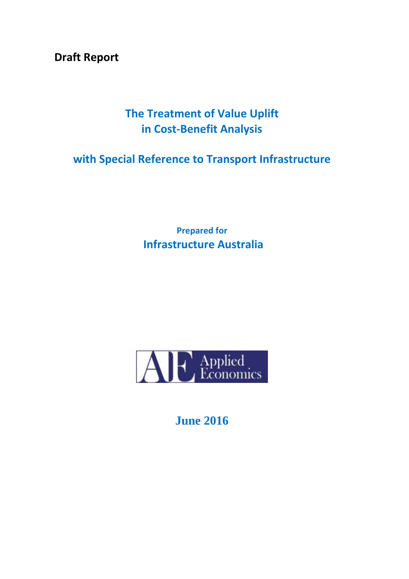**Draft Report** 

# **The Treatment of Value Uplift in Cost-Benefit Analysis**

# **with Special Reference to Transport Infrastructure**

**Prepared for Infrastructure Australia**



**June 2016**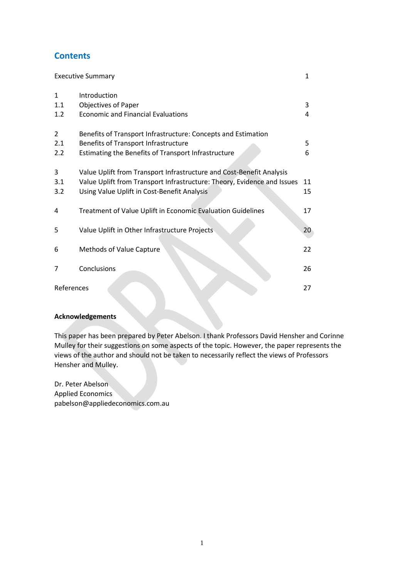# **Contents**

| <b>Executive Summary</b>   |                                                                                                                                                                                                |          |  |
|----------------------------|------------------------------------------------------------------------------------------------------------------------------------------------------------------------------------------------|----------|--|
| $\mathbf{1}$<br>1.1<br>1.2 | Introduction<br><b>Objectives of Paper</b><br><b>Economic and Financial Evaluations</b>                                                                                                        | 3<br>4   |  |
| 2<br>2.1<br>2.2            | Benefits of Transport Infrastructure: Concepts and Estimation<br>Benefits of Transport Infrastructure<br>Estimating the Benefits of Transport Infrastructure                                   | 5<br>6   |  |
| 3<br>3.1<br>3.2            | Value Uplift from Transport Infrastructure and Cost-Benefit Analysis<br>Value Uplift from Transport Infrastructure: Theory, Evidence and Issues<br>Using Value Uplift in Cost-Benefit Analysis | 11<br>15 |  |
| 4                          | Treatment of Value Uplift in Economic Evaluation Guidelines                                                                                                                                    | 17       |  |
| 5                          | Value Uplift in Other Infrastructure Projects                                                                                                                                                  | 20       |  |
| 6                          | Methods of Value Capture                                                                                                                                                                       | 22       |  |
| 7                          | Conclusions                                                                                                                                                                                    | 26       |  |
| References<br>27           |                                                                                                                                                                                                |          |  |

#### **Acknowledgements**

This paper has been prepared by Peter Abelson. I thank Professors David Hensher and Corinne Mulley for their suggestions on some aspects of the topic. However, the paper represents the views of the author and should not be taken to necessarily reflect the views of Professors Hensher and Mulley.

Dr. Peter Abelson Applied Economics pabelson@appliedeconomics.com.au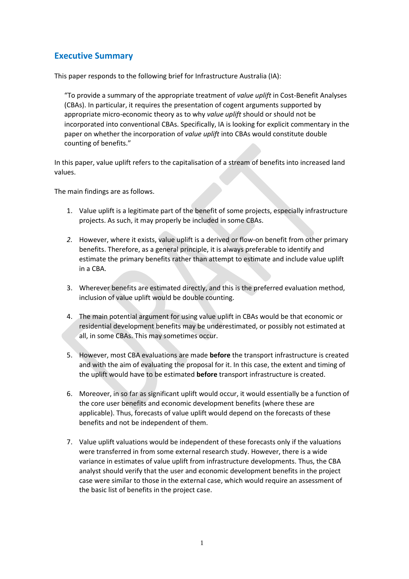# **Executive Summary**

This paper responds to the following brief for Infrastructure Australia (IA):

"To provide a summary of the appropriate treatment of *value uplift* in Cost-Benefit Analyses (CBAs). In particular, it requires the presentation of cogent arguments supported by appropriate micro-economic theory as to why *value uplift* should or should not be incorporated into conventional CBAs. Specifically, IA is looking for explicit commentary in the paper on whether the incorporation of *value uplift* into CBAs would constitute double counting of benefits."

In this paper, value uplift refers to the capitalisation of a stream of benefits into increased land values.

The main findings are as follows.

- 1. Value uplift is a legitimate part of the benefit of some projects, especially infrastructure projects. As such, it may properly be included in some CBAs.
- *2.* However, where it exists, value uplift is a derived or flow-on benefit from other primary benefits. Therefore, as a general principle, it is always preferable to identify and estimate the primary benefits rather than attempt to estimate and include value uplift in a CBA.
- 3. Wherever benefits are estimated directly, and this is the preferred evaluation method, inclusion of value uplift would be double counting.
- 4. The main potential argument for using value uplift in CBAs would be that economic or residential development benefits may be underestimated, or possibly not estimated at all, in some CBAs. This may sometimes occur.
- 5. However, most CBA evaluations are made **before** the transport infrastructure is created and with the aim of evaluating the proposal for it. In this case, the extent and timing of the uplift would have to be estimated **before** transport infrastructure is created.
- 6. Moreover, in so far as significant uplift would occur, it would essentially be a function of the core user benefits and economic development benefits (where these are applicable). Thus, forecasts of value uplift would depend on the forecasts of these benefits and not be independent of them.
- 7. Value uplift valuations would be independent of these forecasts only if the valuations were transferred in from some external research study. However, there is a wide variance in estimates of value uplift from infrastructure developments. Thus, the CBA analyst should verify that the user and economic development benefits in the project case were similar to those in the external case, which would require an assessment of the basic list of benefits in the project case.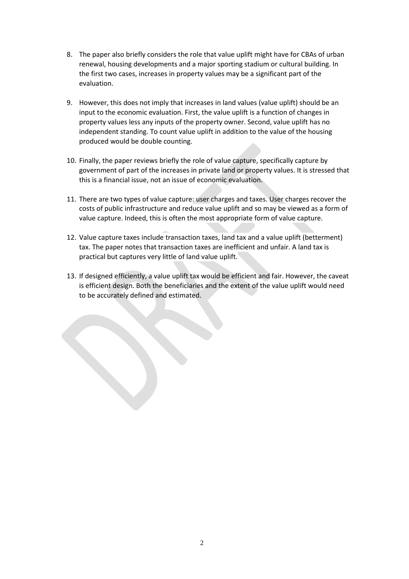- 8. The paper also briefly considers the role that value uplift might have for CBAs of urban renewal, housing developments and a major sporting stadium or cultural building. In the first two cases, increases in property values may be a significant part of the evaluation.
- 9. However, this does not imply that increases in land values (value uplift) should be an input to the economic evaluation. First, the value uplift is a function of changes in property values less any inputs of the property owner. Second, value uplift has no independent standing. To count value uplift in addition to the value of the housing produced would be double counting.
- 10. Finally, the paper reviews briefly the role of value capture, specifically capture by government of part of the increases in private land or property values. It is stressed that this is a financial issue, not an issue of economic evaluation.
- 11. There are two types of value capture: user charges and taxes. User charges recover the costs of public infrastructure and reduce value uplift and so may be viewed as a form of value capture. Indeed, this is often the most appropriate form of value capture.
- 12. Value capture taxes include transaction taxes, land tax and a value uplift (betterment) tax. The paper notes that transaction taxes are inefficient and unfair. A land tax is practical but captures very little of land value uplift.
- 13. If designed efficiently, a value uplift tax would be efficient and fair. However, the caveat is efficient design. Both the beneficiaries and the extent of the value uplift would need to be accurately defined and estimated.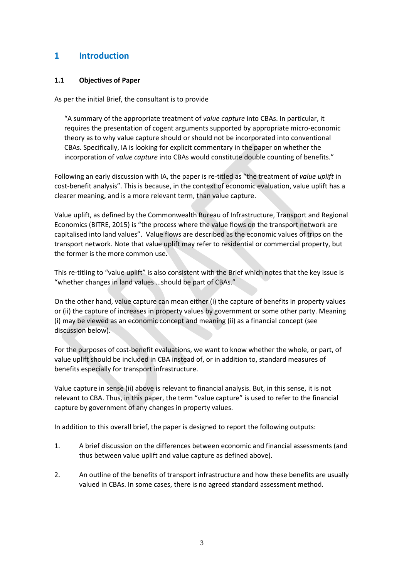# **1 Introduction**

### **1.1 Objectives of Paper**

As per the initial Brief, the consultant is to provide

"A summary of the appropriate treatment of *value capture* into CBAs. In particular, it requires the presentation of cogent arguments supported by appropriate micro-economic theory as to why value capture should or should not be incorporated into conventional CBAs. Specifically, IA is looking for explicit commentary in the paper on whether the incorporation of *value capture* into CBAs would constitute double counting of benefits."

Following an early discussion with IA, the paper is re-titled as "the treatment of *value uplift* in cost-benefit analysis". This is because, in the context of economic evaluation, value uplift has a clearer meaning, and is a more relevant term, than value capture.

Value uplift, as defined by the Commonwealth Bureau of Infrastructure, Transport and Regional Economics (BITRE, 2015) is "the process where the value flows on the transport network are capitalised into land values". Value flows are described as the economic values of trips on the transport network. Note that value uplift may refer to residential or commercial property, but the former is the more common use.

This re-titling to "value uplift" is also consistent with the Brief which notes that the key issue is "whether changes in land values …should be part of CBAs."

On the other hand, value capture can mean either (i) the capture of benefits in property values or (ii) the capture of increases in property values by government or some other party. Meaning (i) may be viewed as an economic concept and meaning (ii) as a financial concept (see discussion below).

For the purposes of cost-benefit evaluations, we want to know whether the whole, or part, of value uplift should be included in CBA instead of, or in addition to, standard measures of benefits especially for transport infrastructure.

Value capture in sense (ii) above is relevant to financial analysis. But, in this sense, it is not relevant to CBA. Thus, in this paper, the term "value capture" is used to refer to the financial capture by government of any changes in property values.

In addition to this overall brief, the paper is designed to report the following outputs:

- 1. A brief discussion on the differences between economic and financial assessments (and thus between value uplift and value capture as defined above).
- 2. An outline of the benefits of transport infrastructure and how these benefits are usually valued in CBAs. In some cases, there is no agreed standard assessment method.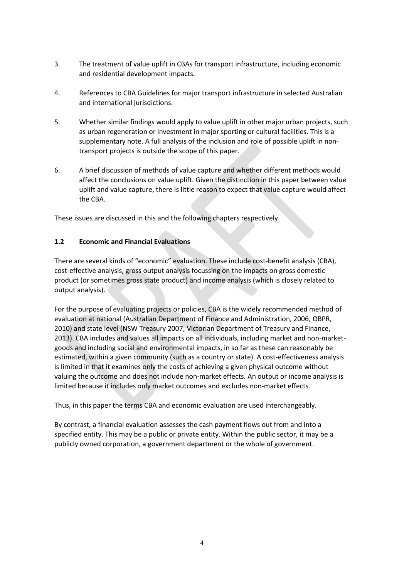- 3. The treatment of value uplift in CBAs for transport infrastructure, including economic and residential development impacts.
- 4. References to CBA Guidelines for major transport infrastructure in selected Australian and international jurisdictions.
- 5. Whether similar findings would apply to value uplift in other major urban projects, such as urban regeneration or investment in major sporting or cultural facilities. This is a supplementary note. A full analysis of the inclusion and role of possible uplift in nontransport projects is outside the scope of this paper.
- 6. A brief discussion of methods of value capture and whether different methods would affect the conclusions on value uplift. Given the distinction in this paper between value uplift and value capture, there is little reason to expect that value capture would affect the CBA.

These issues are discussed in this and the following chapters respectively.

## **1.2 Economic and Financial Evaluations**

There are several kinds of "economic" evaluation. These include cost-benefit analysis (CBA), cost-effective analysis, gross output analysis focussing on the impacts on gross domestic product (or sometimes gross state product) and income analysis (which is closely related to output analysis).

For the purpose of evaluating projects or policies, CBA is the widely recommended method of evaluation at national (Australian Department of Finance and Administration, 2006; OBPR, 2010) and state level (NSW Treasury 2007; Victorian Department of Treasury and Finance, 2013). CBA includes and values all impacts on all individuals, including market and non-marketgoods and including social and environmental impacts, in so far as these can reasonably be estimated, within a given community (such as a country or state). A cost-effectiveness analysis is limited in that it examines only the costs of achieving a given physical outcome without valuing the outcome and does not include non-market effects. An output or income analysis is limited because it includes only market outcomes and excludes non-market effects.

Thus, in this paper the terms CBA and economic evaluation are used interchangeably.

By contrast, a financial evaluation assesses the cash payment flows out from and into a specified entity. This may be a public or private entity. Within the public sector, it may be a publicly owned corporation, a government department or the whole of government.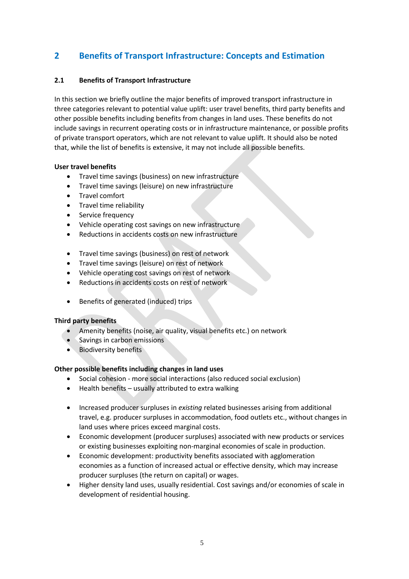# **2 Benefits of Transport Infrastructure: Concepts and Estimation**

### **2.1 Benefits of Transport Infrastructure**

In this section we briefly outline the major benefits of improved transport infrastructure in three categories relevant to potential value uplift: user travel benefits, third party benefits and other possible benefits including benefits from changes in land uses. These benefits do not include savings in recurrent operating costs or in infrastructure maintenance, or possible profits of private transport operators, which are not relevant to value uplift. It should also be noted that, while the list of benefits is extensive, it may not include all possible benefits.

#### **User travel benefits**

- Travel time savings (business) on new infrastructure
- Travel time savings (leisure) on new infrastructure
- Travel comfort
- Travel time reliability
- Service frequency
- Vehicle operating cost savings on new infrastructure
- Reductions in accidents costs on new infrastructure
- Travel time savings (business) on rest of network
- Travel time savings (leisure) on rest of network
- Vehicle operating cost savings on rest of network
- Reductions in accidents costs on rest of network
- Benefits of generated (induced) trips

### **Third party benefits**

- Amenity benefits (noise, air quality, visual benefits etc.) on network
- Savings in carbon emissions
- Biodiversity benefits

### **Other possible benefits including changes in land uses**

- Social cohesion more social interactions (also reduced social exclusion)
- Health benefits usually attributed to extra walking
- Increased producer surpluses in *existing* related businesses arising from additional travel, e.g. producer surpluses in accommodation, food outlets etc., without changes in land uses where prices exceed marginal costs.
- Economic development (producer surpluses) associated with new products or services or existing businesses exploiting non-marginal economies of scale in production.
- Economic development: productivity benefits associated with agglomeration economies as a function of increased actual or effective density, which may increase producer surpluses (the return on capital) or wages.
- Higher density land uses, usually residential. Cost savings and/or economies of scale in development of residential housing.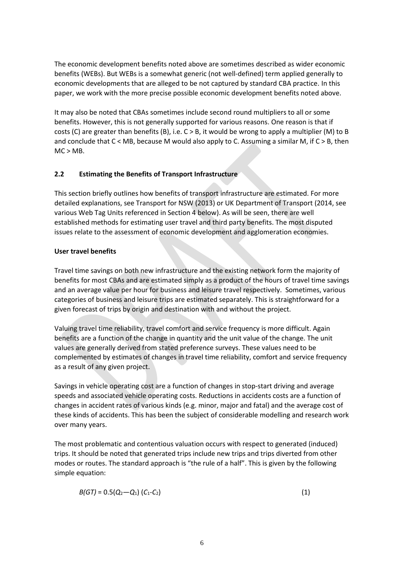The economic development benefits noted above are sometimes described as wider economic benefits (WEBs). But WEBs is a somewhat generic (not well-defined) term applied generally to economic developments that are alleged to be not captured by standard CBA practice. In this paper, we work with the more precise possible economic development benefits noted above.

It may also be noted that CBAs sometimes include second round multipliers to all or some benefits. However, this is not generally supported for various reasons. One reason is that if costs (C) are greater than benefits (B), i.e. C > B, it would be wrong to apply a multiplier (M) to B and conclude that  $C <$  MB, because M would also apply to C. Assuming a similar M, if  $C > B$ , then  $MC > MB$ .

### **2.2 Estimating the Benefits of Transport Infrastructure**

This section briefly outlines how benefits of transport infrastructure are estimated. For more detailed explanations, see Transport for NSW (2013) or UK Department of Transport (2014, see various Web Tag Units referenced in Section 4 below). As will be seen, there are well established methods for estimating user travel and third party benefits. The most disputed issues relate to the assessment of economic development and agglomeration economies.

### **User travel benefits**

Travel time savings on both new infrastructure and the existing network form the majority of benefits for most CBAs and are estimated simply as a product of the hours of travel time savings and an average value per hour for business and leisure travel respectively. Sometimes, various categories of business and leisure trips are estimated separately. This is straightforward for a given forecast of trips by origin and destination with and without the project.

Valuing travel time reliability, travel comfort and service frequency is more difficult. Again benefits are a function of the change in quantity and the unit value of the change. The unit values are generally derived from stated preference surveys. These values need to be complemented by estimates of changes in travel time reliability, comfort and service frequency as a result of any given project.

Savings in vehicle operating cost are a function of changes in stop-start driving and average speeds and associated vehicle operating costs. Reductions in accidents costs are a function of changes in accident rates of various kinds (e.g. minor, major and fatal) and the average cost of these kinds of accidents. This has been the subject of considerable modelling and research work over many years.

The most problematic and contentious valuation occurs with respect to generated (induced) trips. It should be noted that generated trips include new trips and trips diverted from other modes or routes. The standard approach is "the rule of a half". This is given by the following simple equation:

$$
B(GT) = 0.5(Q_2 - Q_1) (C_1 - C_2)
$$
 (1)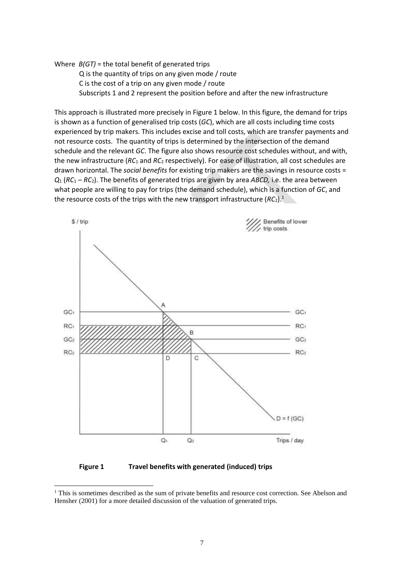Where *B(GT)* = the total benefit of generated trips

Q is the quantity of trips on any given mode / route C is the cost of a trip on any given mode / route Subscripts 1 and 2 represent the position before and after the new infrastructure

This approach is illustrated more precisely in Figure 1 below. In this figure, the demand for trips is shown as a function of generalised trip costs (*GC*), which are all costs including time costs experienced by trip makers. This includes excise and toll costs, which are transfer payments and not resource costs. The quantity of trips is determined by the intersection of the demand schedule and the relevant *GC*. The figure also shows resource cost schedules without, and with, the new infrastructure (*RC*<sup>1</sup> and *RC*<sup>2</sup> respectively). For ease of illustration, all cost schedules are drawn horizontal. The *social benefits* for existing trip makers are the savings in resource costs = *Q*<sup>1</sup> (*RC*<sup>1</sup> – *RC*2). The benefits of generated trips are given by area *ABCD,* i.e. the area between what people are willing to pay for trips (the demand schedule), which is a function of *GC*, and the resource costs of the trips with the new transport infrastructure  $(RC_2)$ .<sup>1</sup>



**Figure 1 Travel benefits with generated (induced) trips**

 $\overline{\phantom{a}}$ 

<sup>&</sup>lt;sup>1</sup> This is sometimes described as the sum of private benefits and resource cost correction. See Abelson and Hensher (2001) for a more detailed discussion of the valuation of generated trips.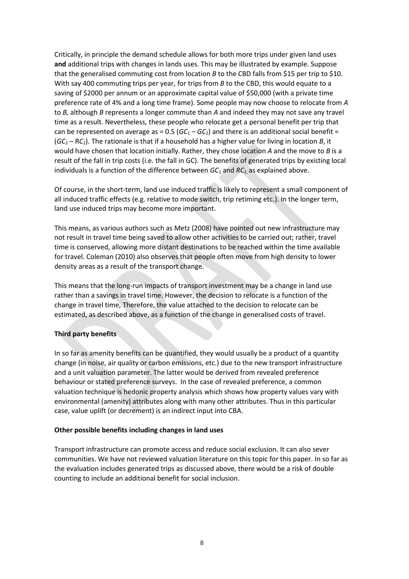Critically, in principle the demand schedule allows for both more trips under given land uses **and** additional trips with changes in lands uses. This may be illustrated by example. Suppose that the generalised commuting cost from location *B* to the CBD falls from \$15 per trip to \$10. With say 400 commuting trips per year, for trips from *B* to the CBD, this would equate to a saving of \$2000 per annum or an approximate capital value of \$50,000 (with a private time preference rate of 4% and a long time frame). Some people may now choose to relocate from *A* to *B,* although *B* represents a longer commute than *A* and indeed they may not save any travel time as a result. Nevertheless, these people who relocate get a personal benefit per trip that can be represented on average as =  $0.5$  ( $GC<sub>1</sub> - GC<sub>2</sub>$ ) and there is an additional social benefit =  $(GC_2 - RC_2)$ . The rationale is that if a household has a higher value for living in location *B*, it would have chosen that location initially. Rather, they chose location *A* and the move to *B* is a result of the fall in trip costs (i.e. the fall in GC). The benefits of generated trips by existing local individuals is a function of the difference between  $GC_1$  and  $RC_2$  as explained above.

Of course, in the short-term, land use induced traffic is likely to represent a small component of all induced traffic effects (e.g. relative to mode switch, trip retiming etc.). In the longer term, land use induced trips may become more important.

This means, as various authors such as Metz (2008) have pointed out new infrastructure may not result in travel time being saved to allow other activities to be carried out; rather, travel time is conserved, allowing more distant destinations to be reached within the time available for travel. Coleman (2010) also observes that people often move from high density to lower density areas as a result of the transport change.

This means that the long-run impacts of transport investment may be a change in land use rather than a savings in travel time. However, the decision to relocate is a function of the change in travel time, Therefore, the value attached to the decision to relocate can be estimated, as described above, as a function of the change in generalised costs of travel.

### **Third party benefits**

In so far as amenity benefits can be quantified, they would usually be a product of a quantity change (in noise, air quality or carbon emissions, etc.) due to the new transport infrastructure and a unit valuation parameter. The latter would be derived from revealed preference behaviour or stated preference surveys. In the case of revealed preference, a common valuation technique is hedonic property analysis which shows how property values vary with environmental (amenity) attributes along with many other attributes. Thus in this particular case, value uplift (or decrement) is an indirect input into CBA.

#### **Other possible benefits including changes in land uses**

Transport infrastructure can promote access and reduce social exclusion. It can also sever communities. We have not reviewed valuation literature on this topic for this paper. In so far as the evaluation includes generated trips as discussed above, there would be a risk of double counting to include an additional benefit for social inclusion.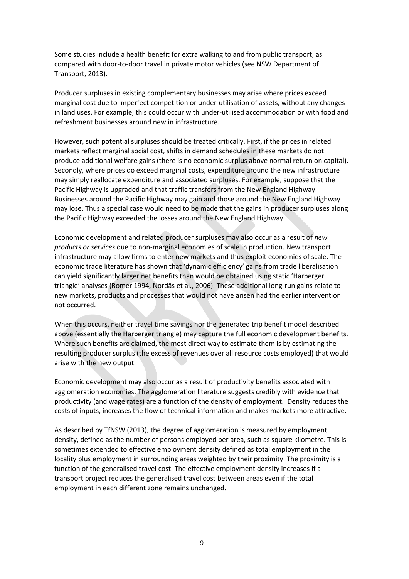Some studies include a health benefit for extra walking to and from public transport, as compared with door-to-door travel in private motor vehicles (see NSW Department of Transport, 2013).

Producer surpluses in existing complementary businesses may arise where prices exceed marginal cost due to imperfect competition or under-utilisation of assets, without any changes in land uses. For example, this could occur with under-utilised accommodation or with food and refreshment businesses around new in infrastructure.

However, such potential surpluses should be treated critically. First, if the prices in related markets reflect marginal social cost, shifts in demand schedules in these markets do not produce additional welfare gains (there is no economic surplus above normal return on capital). Secondly, where prices do exceed marginal costs, expenditure around the new infrastructure may simply reallocate expenditure and associated surpluses. For example, suppose that the Pacific Highway is upgraded and that traffic transfers from the New England Highway. Businesses around the Pacific Highway may gain and those around the New England Highway may lose. Thus a special case would need to be made that the gains in producer surpluses along the Pacific Highway exceeded the losses around the New England Highway.

Economic development and related producer surpluses may also occur as a result of *new products or services* due to non-marginal economies of scale in production. New transport infrastructure may allow firms to enter new markets and thus exploit economies of scale. The economic trade literature has shown that 'dynamic efficiency' gains from trade liberalisation can yield significantly larger net benefits than would be obtained using static 'Harberger triangle' analyses (Romer 1994, Nordås et al., 2006). These additional long-run gains relate to new markets, products and processes that would not have arisen had the earlier intervention not occurred.

When this occurs, neither travel time savings nor the generated trip benefit model described above (essentially the Harberger triangle) may capture the full economic development benefits. Where such benefits are claimed, the most direct way to estimate them is by estimating the resulting producer surplus (the excess of revenues over all resource costs employed) that would arise with the new output.

Economic development may also occur as a result of productivity benefits associated with agglomeration economies. The agglomeration literature suggests credibly with evidence that productivity (and wage rates) are a function of the density of employment. Density reduces the costs of inputs, increases the flow of technical information and makes markets more attractive.

As described by TfNSW (2013), the degree of agglomeration is measured by employment density, defined as the number of persons employed per area, such as square kilometre. This is sometimes extended to effective employment density defined as total employment in the locality plus employment in surrounding areas weighted by their proximity. The proximity is a function of the generalised travel cost. The effective employment density increases if a transport project reduces the generalised travel cost between areas even if the total employment in each different zone remains unchanged.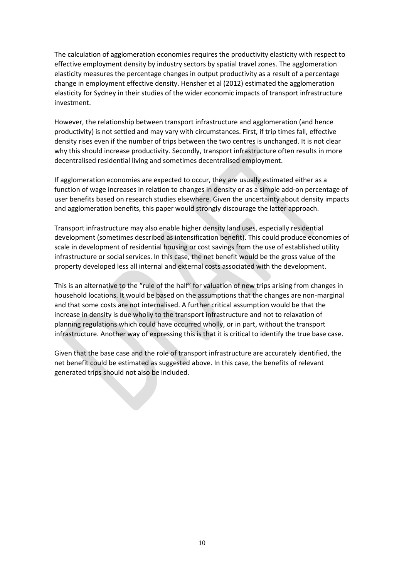The calculation of agglomeration economies requires the productivity elasticity with respect to effective employment density by industry sectors by spatial travel zones. The agglomeration elasticity measures the percentage changes in output productivity as a result of a percentage change in employment effective density. Hensher et al (2012) estimated the agglomeration elasticity for Sydney in their studies of the wider economic impacts of transport infrastructure investment.

However, the relationship between transport infrastructure and agglomeration (and hence productivity) is not settled and may vary with circumstances. First, if trip times fall, effective density rises even if the number of trips between the two centres is unchanged. It is not clear why this should increase productivity. Secondly, transport infrastructure often results in more decentralised residential living and sometimes decentralised employment.

If agglomeration economies are expected to occur, they are usually estimated either as a function of wage increases in relation to changes in density or as a simple add-on percentage of user benefits based on research studies elsewhere. Given the uncertainty about density impacts and agglomeration benefits, this paper would strongly discourage the latter approach.

Transport infrastructure may also enable higher density land uses, especially residential development (sometimes described as intensification benefit). This could produce economies of scale in development of residential housing or cost savings from the use of established utility infrastructure or social services. In this case, the net benefit would be the gross value of the property developed less all internal and external costs associated with the development.

This is an alternative to the "rule of the half" for valuation of new trips arising from changes in household locations. It would be based on the assumptions that the changes are non-marginal and that some costs are not internalised. A further critical assumption would be that the increase in density is due wholly to the transport infrastructure and not to relaxation of planning regulations which could have occurred wholly, or in part, without the transport infrastructure. Another way of expressing this is that it is critical to identify the true base case.

Given that the base case and the role of transport infrastructure are accurately identified, the net benefit could be estimated as suggested above. In this case, the benefits of relevant generated trips should not also be included.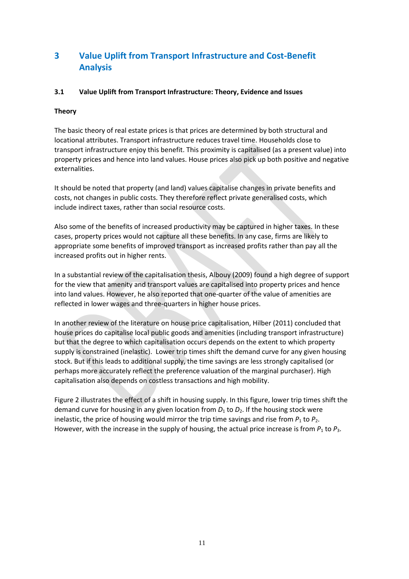# **3 Value Uplift from Transport Infrastructure and Cost-Benefit Analysis**

### **3.1 Value Uplift from Transport Infrastructure: Theory, Evidence and Issues**

#### **Theory**

The basic theory of real estate prices is that prices are determined by both structural and locational attributes. Transport infrastructure reduces travel time. Households close to transport infrastructure enjoy this benefit. This proximity is capitalised (as a present value) into property prices and hence into land values. House prices also pick up both positive and negative externalities.

It should be noted that property (and land) values capitalise changes in private benefits and costs, not changes in public costs. They therefore reflect private generalised costs, which include indirect taxes, rather than social resource costs.

Also some of the benefits of increased productivity may be captured in higher taxes. In these cases, property prices would not capture all these benefits. In any case, firms are likely to appropriate some benefits of improved transport as increased profits rather than pay all the increased profits out in higher rents.

In a substantial review of the capitalisation thesis, Albouy (2009) found a high degree of support for the view that amenity and transport values are capitalised into property prices and hence into land values. However, he also reported that one-quarter of the value of amenities are reflected in lower wages and three-quarters in higher house prices.

In another review of the literature on house price capitalisation, Hilber (2011) concluded that house prices do capitalise local public goods and amenities (including transport infrastructure) but that the degree to which capitalisation occurs depends on the extent to which property supply is constrained (inelastic). Lower trip times shift the demand curve for any given housing stock. But if this leads to additional supply, the time savings are less strongly capitalised (or perhaps more accurately reflect the preference valuation of the marginal purchaser). High capitalisation also depends on costless transactions and high mobility.

Figure 2 illustrates the effect of a shift in housing supply. In this figure, lower trip times shift the demand curve for housing in any given location from  $D_1$  to  $D_2$ . If the housing stock were inelastic, the price of housing would mirror the trip time savings and rise from  $P_1$  to  $P_2$ . However, with the increase in the supply of housing, the actual price increase is from  $P_1$  to  $P_3$ .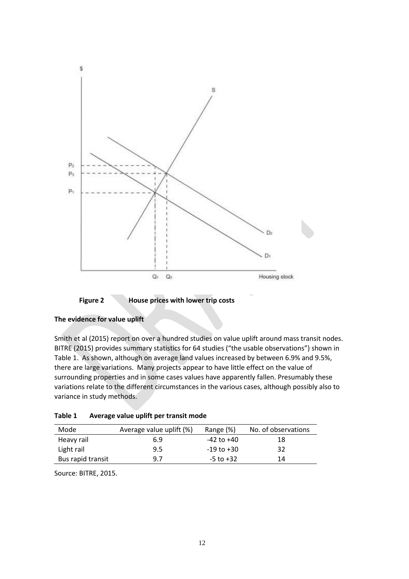

**Figure 2 House prices with lower trip costs**

Smith et al (2015) report on over a hundred studies on value uplift around mass transit nodes. BITRE (2015) provides summary statistics for 64 studies ("the usable observations") shown in Table 1. As shown, although on average land values increased by between 6.9% and 9.5%, there are large variations. Many projects appear to have little effect on the value of surrounding properties and in some cases values have apparently fallen. Presumably these variations relate to the different circumstances in the various cases, although possibly also to variance in study methods.

| Mode              | Average value uplift (%) | Range (%)      | No. of observations |
|-------------------|--------------------------|----------------|---------------------|
| Heavy rail        | 6.9                      | -42 to +40     | 18                  |
| Light rail        | 9.5                      | $-19$ to $+30$ | 32                  |
| Bus rapid transit | 9.7                      | $-5$ to $+32$  | 14                  |

| Table 1 | Average value uplift per transit mode |
|---------|---------------------------------------|
|         |                                       |

Source: BITRE, 2015.

**The evidence for value uplift**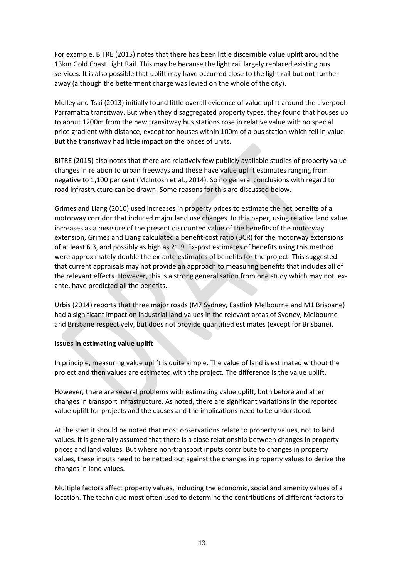For example, BITRE (2015) notes that there has been little discernible value uplift around the 13km Gold Coast Light Rail. This may be because the light rail largely replaced existing bus services. It is also possible that uplift may have occurred close to the light rail but not further away (although the betterment charge was levied on the whole of the city).

Mulley and Tsai (2013) initially found little overall evidence of value uplift around the Liverpool-Parramatta transitway. But when they disaggregated property types, they found that houses up to about 1200m from the new transitway bus stations rose in relative value with no special price gradient with distance, except for houses within 100m of a bus station which fell in value. But the transitway had little impact on the prices of units.

BITRE (2015) also notes that there are relatively few publicly available studies of property value changes in relation to urban freeways and these have value uplift estimates ranging from negative to 1,100 per cent (McIntosh et al., 2014). So no general conclusions with regard to road infrastructure can be drawn. Some reasons for this are discussed below.

Grimes and Liang (2010) used increases in property prices to estimate the net benefits of a motorway corridor that induced major land use changes. In this paper, using relative land value increases as a measure of the present discounted value of the benefits of the motorway extension, Grimes and Liang calculated a benefit-cost ratio (BCR) for the motorway extensions of at least 6.3, and possibly as high as 21.9. Ex-post estimates of benefits using this method were approximately double the ex-ante estimates of benefits for the project*.* This suggested that current appraisals may not provide an approach to measuring benefits that includes all of the relevant effects. However, this is a strong generalisation from one study which may not, exante, have predicted all the benefits.

Urbis (2014) reports that three major roads (M7 Sydney, Eastlink Melbourne and M1 Brisbane) had a significant impact on industrial land values in the relevant areas of Sydney, Melbourne and Brisbane respectively, but does not provide quantified estimates (except for Brisbane).

#### **Issues in estimating value uplift**

In principle, measuring value uplift is quite simple. The value of land is estimated without the project and then values are estimated with the project. The difference is the value uplift.

However, there are several problems with estimating value uplift, both before and after changes in transport infrastructure. As noted, there are significant variations in the reported value uplift for projects and the causes and the implications need to be understood.

At the start it should be noted that most observations relate to property values, not to land values. It is generally assumed that there is a close relationship between changes in property prices and land values. But where non-transport inputs contribute to changes in property values, these inputs need to be netted out against the changes in property values to derive the changes in land values.

Multiple factors affect property values, including the economic, social and amenity values of a location. The technique most often used to determine the contributions of different factors to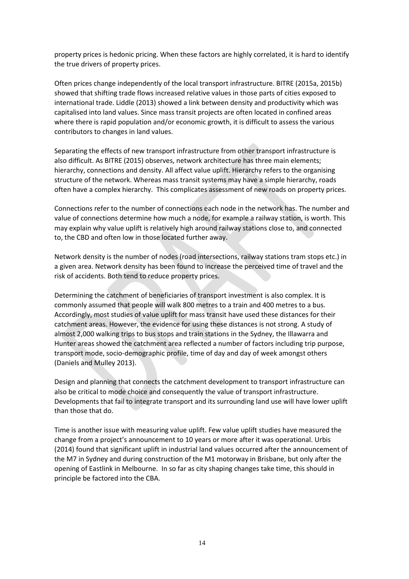property prices is hedonic pricing. When these factors are highly correlated, it is hard to identify the true drivers of property prices.

Often prices change independently of the local transport infrastructure. BITRE (2015a, 2015b) showed that shifting trade flows increased relative values in those parts of cities exposed to international trade. Liddle (2013) showed a link between density and productivity which was capitalised into land values. Since mass transit projects are often located in confined areas where there is rapid population and/or economic growth, it is difficult to assess the various contributors to changes in land values.

Separating the effects of new transport infrastructure from other transport infrastructure is also difficult. As BITRE (2015) observes, network architecture has three main elements; hierarchy, connections and density. All affect value uplift. Hierarchy refers to the organising structure of the network. Whereas mass transit systems may have a simple hierarchy, roads often have a complex hierarchy. This complicates assessment of new roads on property prices.

Connections refer to the number of connections each node in the network has. The number and value of connections determine how much a node, for example a railway station, is worth. This may explain why value uplift is relatively high around railway stations close to, and connected to, the CBD and often low in those located further away.

Network density is the number of nodes (road intersections, railway stations tram stops etc.) in a given area. Network density has been found to increase the perceived time of travel and the risk of accidents. Both tend to reduce property prices.

Determining the catchment of beneficiaries of transport investment is also complex. It is commonly assumed that people will walk 800 metres to a train and 400 metres to a bus. Accordingly, most studies of value uplift for mass transit have used these distances for their catchment areas. However, the evidence for using these distances is not strong. A study of almost 2,000 walking trips to bus stops and train stations in the Sydney, the Illawarra and Hunter areas showed the catchment area reflected a number of factors including trip purpose, transport mode, socio-demographic profile, time of day and day of week amongst others (Daniels and Mulley 2013).

Design and planning that connects the catchment development to transport infrastructure can also be critical to mode choice and consequently the value of transport infrastructure. Developments that fail to integrate transport and its surrounding land use will have lower uplift than those that do.

Time is another issue with measuring value uplift. Few value uplift studies have measured the change from a project's announcement to 10 years or more after it was operational. Urbis (2014) found that significant uplift in industrial land values occurred after the announcement of the M7 in Sydney and during construction of the M1 motorway in Brisbane, but only after the opening of Eastlink in Melbourne. In so far as city shaping changes take time, this should in principle be factored into the CBA.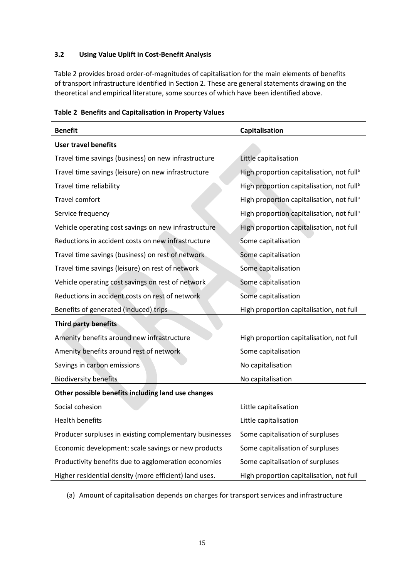#### **3.2 Using Value Uplift in Cost-Benefit Analysis**

Table 2 provides broad order-of-magnitudes of capitalisation for the main elements of benefits of transport infrastructure identified in Section 2. These are general statements drawing on the theoretical and empirical literature, some sources of which have been identified above.

| <b>Benefit</b>                                          | Capitalisation                                        |  |  |  |  |
|---------------------------------------------------------|-------------------------------------------------------|--|--|--|--|
| <b>User travel benefits</b>                             |                                                       |  |  |  |  |
| Travel time savings (business) on new infrastructure    | Little capitalisation                                 |  |  |  |  |
| Travel time savings (leisure) on new infrastructure     | High proportion capitalisation, not full <sup>a</sup> |  |  |  |  |
| Travel time reliability                                 | High proportion capitalisation, not full <sup>a</sup> |  |  |  |  |
| Travel comfort                                          | High proportion capitalisation, not full <sup>a</sup> |  |  |  |  |
| Service frequency                                       | High proportion capitalisation, not full <sup>a</sup> |  |  |  |  |
| Vehicle operating cost savings on new infrastructure    | High proportion capitalisation, not full              |  |  |  |  |
| Reductions in accident costs on new infrastructure      | Some capitalisation                                   |  |  |  |  |
| Travel time savings (business) on rest of network       | Some capitalisation                                   |  |  |  |  |
| Travel time savings (leisure) on rest of network        | Some capitalisation                                   |  |  |  |  |
| Vehicle operating cost savings on rest of network       | Some capitalisation                                   |  |  |  |  |
| Reductions in accident costs on rest of network         | Some capitalisation                                   |  |  |  |  |
| Benefits of generated (induced) trips                   | High proportion capitalisation, not full              |  |  |  |  |
| <b>Third party benefits</b>                             |                                                       |  |  |  |  |
| Amenity benefits around new infrastructure              | High proportion capitalisation, not full              |  |  |  |  |
| Amenity benefits around rest of network                 | Some capitalisation                                   |  |  |  |  |
| Savings in carbon emissions                             | No capitalisation                                     |  |  |  |  |
| <b>Biodiversity benefits</b>                            | No capitalisation                                     |  |  |  |  |
| Other possible benefits including land use changes      |                                                       |  |  |  |  |
| Social cohesion                                         | Little capitalisation                                 |  |  |  |  |
| <b>Health benefits</b>                                  | Little capitalisation                                 |  |  |  |  |
| Producer surpluses in existing complementary businesses | Some capitalisation of surpluses                      |  |  |  |  |
| Economic development: scale savings or new products     | Some capitalisation of surpluses                      |  |  |  |  |
| Productivity benefits due to agglomeration economies    | Some capitalisation of surpluses                      |  |  |  |  |
| Higher residential density (more efficient) land uses.  | High proportion capitalisation, not full              |  |  |  |  |

**Table 2 Benefits and Capitalisation in Property Values**

(a) Amount of capitalisation depends on charges for transport services and infrastructure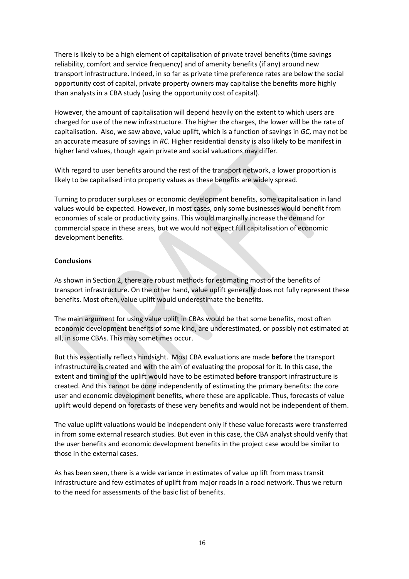There is likely to be a high element of capitalisation of private travel benefits (time savings reliability, comfort and service frequency) and of amenity benefits (if any) around new transport infrastructure. Indeed, in so far as private time preference rates are below the social opportunity cost of capital, private property owners may capitalise the benefits more highly than analysts in a CBA study (using the opportunity cost of capital).

However, the amount of capitalisation will depend heavily on the extent to which users are charged for use of the new infrastructure. The higher the charges, the lower will be the rate of capitalisation. Also, we saw above, value uplift, which is a function of savings in *GC*, may not be an accurate measure of savings in *RC*. Higher residential density is also likely to be manifest in higher land values, though again private and social valuations may differ.

With regard to user benefits around the rest of the transport network, a lower proportion is likely to be capitalised into property values as these benefits are widely spread.

Turning to producer surpluses or economic development benefits, some capitalisation in land values would be expected. However, in most cases, only some businesses would benefit from economies of scale or productivity gains. This would marginally increase the demand for commercial space in these areas, but we would not expect full capitalisation of economic development benefits.

#### **Conclusions**

As shown in Section 2, there are robust methods for estimating most of the benefits of transport infrastructure. On the other hand, value uplift generally does not fully represent these benefits. Most often, value uplift would underestimate the benefits.

The main argument for using value uplift in CBAs would be that some benefits, most often economic development benefits of some kind, are underestimated, or possibly not estimated at all, in some CBAs. This may sometimes occur.

But this essentially reflects hindsight. Most CBA evaluations are made **before** the transport infrastructure is created and with the aim of evaluating the proposal for it. In this case, the extent and timing of the uplift would have to be estimated **before** transport infrastructure is created. And this cannot be done independently of estimating the primary benefits: the core user and economic development benefits, where these are applicable. Thus, forecasts of value uplift would depend on forecasts of these very benefits and would not be independent of them.

The value uplift valuations would be independent only if these value forecasts were transferred in from some external research studies. But even in this case, the CBA analyst should verify that the user benefits and economic development benefits in the project case would be similar to those in the external cases.

As has been seen, there is a wide variance in estimates of value up lift from mass transit infrastructure and few estimates of uplift from major roads in a road network. Thus we return to the need for assessments of the basic list of benefits.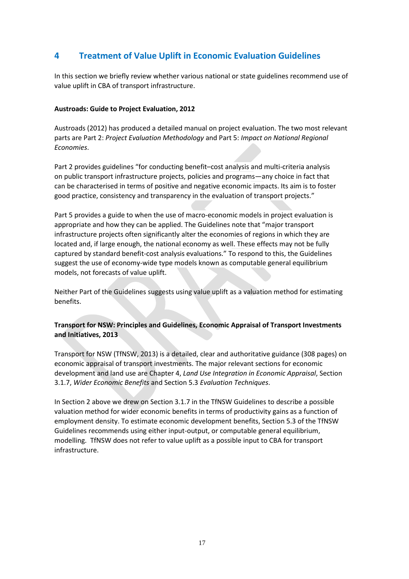# **4 Treatment of Value Uplift in Economic Evaluation Guidelines**

In this section we briefly review whether various national or state guidelines recommend use of value uplift in CBA of transport infrastructure.

### **Austroads: Guide to Project Evaluation, 2012**

Austroads (2012) has produced a detailed manual on project evaluation. The two most relevant parts are Part 2: *Project Evaluation Methodology* and Part 5: *Impact on National Regional Economies*.

Part 2 provides guidelines "for conducting benefit–cost analysis and multi-criteria analysis on public transport infrastructure projects, policies and programs—any choice in fact that can be characterised in terms of positive and negative economic impacts. Its aim is to foster good practice, consistency and transparency in the evaluation of transport projects."

Part 5 provides a guide to when the use of macro-economic models in project evaluation is appropriate and how they can be applied. The Guidelines note that "major transport infrastructure projects often significantly alter the economies of regions in which they are located and, if large enough, the national economy as well. These effects may not be fully captured by standard benefit-cost analysis evaluations." To respond to this, the Guidelines suggest the use of economy-wide type models known as computable general equilibrium models, not forecasts of value uplift.

Neither Part of the Guidelines suggests using value uplift as a valuation method for estimating benefits.

### **Transport for NSW: Principles and Guidelines, Economic Appraisal of Transport Investments and Initiatives, 2013**

Transport for NSW (TfNSW, 2013) is a detailed, clear and authoritative guidance (308 pages) on economic appraisal of transport investments. The major relevant sections for economic development and land use are Chapter 4, *Land Use Integration in Economic Appraisal*, Section 3.1.7, *Wider Economic Benefits* and Section 5.3 *Evaluation Techniques*.

In Section 2 above we drew on Section 3.1.7 in the TfNSW Guidelines to describe a possible valuation method for wider economic benefits in terms of productivity gains as a function of employment density. To estimate economic development benefits, Section 5.3 of the TfNSW Guidelines recommends using either input-output, or computable general equilibrium, modelling. TfNSW does not refer to value uplift as a possible input to CBA for transport infrastructure.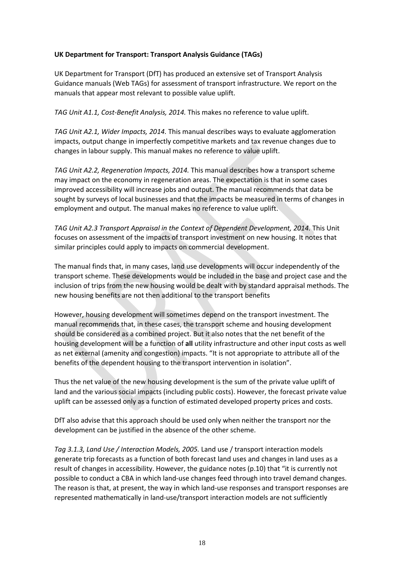### **UK Department for Transport: Transport Analysis Guidance (TAGs)**

UK Department for Transport (DfT) has produced an extensive set of Transport Analysis Guidance manuals (Web TAGs) for assessment of transport infrastructure. We report on the manuals that appear most relevant to possible value uplift.

*TAG Unit A1.1, Cost-Benefit Analysis, 2014.* This makes no reference to value uplift.

*TAG Unit A2.1, Wider Impacts, 2014.* This manual describes ways to evaluate agglomeration impacts, output change in imperfectly competitive markets and tax revenue changes due to changes in labour supply. This manual makes no reference to value uplift.

*TAG Unit A2.2, Regeneration Impacts, 2014.* This manual describes how a transport scheme may impact on the economy in regeneration areas. The expectation is that in some cases improved accessibility will increase jobs and output. The manual recommends that data be sought by surveys of local businesses and that the impacts be measured in terms of changes in employment and output. The manual makes no reference to value uplift.

*TAG Unit A2.3 Transport Appraisal in the Context of Dependent Development, 2014.* This Unit focuses on assessment of the impacts of transport investment on new housing. It notes that similar principles could apply to impacts on commercial development.

The manual finds that, in many cases, land use developments will occur independently of the transport scheme. These developments would be included in the base and project case and the inclusion of trips from the new housing would be dealt with by standard appraisal methods. The new housing benefits are not then additional to the transport benefits

However, housing development will sometimes depend on the transport investment. The manual recommends that, in these cases, the transport scheme and housing development should be considered as a combined project. But it also notes that the net benefit of the housing development will be a function of **all** utility infrastructure and other input costs as well as net external (amenity and congestion) impacts. "It is not appropriate to attribute all of the benefits of the dependent housing to the transport intervention in isolation".

Thus the net value of the new housing development is the sum of the private value uplift of land and the various social impacts (including public costs). However, the forecast private value uplift can be assessed only as a function of estimated developed property prices and costs.

DfT also advise that this approach should be used only when neither the transport nor the development can be justified in the absence of the other scheme.

*Tag 3.1.3, Land Use / Interaction Models, 2005.* Land use / transport interaction models generate trip forecasts as a function of both forecast land uses and changes in land uses as a result of changes in accessibility. However, the guidance notes (p.10) that "it is currently not possible to conduct a CBA in which land-use changes feed through into travel demand changes. The reason is that, at present, the way in which land-use responses and transport responses are represented mathematically in land-use/transport interaction models are not sufficiently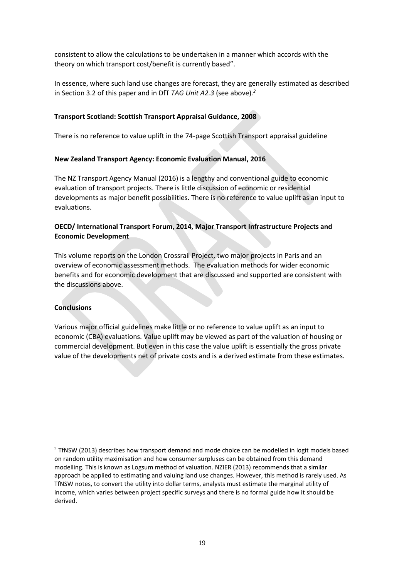consistent to allow the calculations to be undertaken in a manner which accords with the theory on which transport cost/benefit is currently based".

In essence, where such land use changes are forecast, they are generally estimated as described in Section 3.2 of this paper and in DfT *TAG Unit A2.3* (see above)*. 2*

#### **Transport Scotland: Scottish Transport Appraisal Guidance, 2008**

There is no reference to value uplift in the 74-page Scottish Transport appraisal guideline

#### **New Zealand Transport Agency: Economic Evaluation Manual, 2016**

The NZ Transport Agency Manual (2016) is a lengthy and conventional guide to economic evaluation of transport projects. There is little discussion of economic or residential developments as major benefit possibilities. There is no reference to value uplift as an input to evaluations.

## **OECD/ International Transport Forum, 2014, Major Transport Infrastructure Projects and Economic Development**

This volume reports on the London Crossrail Project, two major projects in Paris and an overview of economic assessment methods. The evaluation methods for wider economic benefits and for economic development that are discussed and supported are consistent with the discussions above.

#### **Conclusions**

 $\overline{a}$ 

Various major official guidelines make little or no reference to value uplift as an input to economic (CBA) evaluations. Value uplift may be viewed as part of the valuation of housing or commercial development. But even in this case the value uplift is essentially the gross private value of the developments net of private costs and is a derived estimate from these estimates.

 $2$  TfNSW (2013) describes how transport demand and mode choice can be modelled in logit models based on random utility maximisation and how consumer surpluses can be obtained from this demand modelling. This is known as Logsum method of valuation. NZIER (2013) recommends that a similar approach be applied to estimating and valuing land use changes. However, this method is rarely used. As TfNSW notes, to convert the utility into dollar terms, analysts must estimate the marginal utility of income, which varies between project specific surveys and there is no formal guide how it should be derived.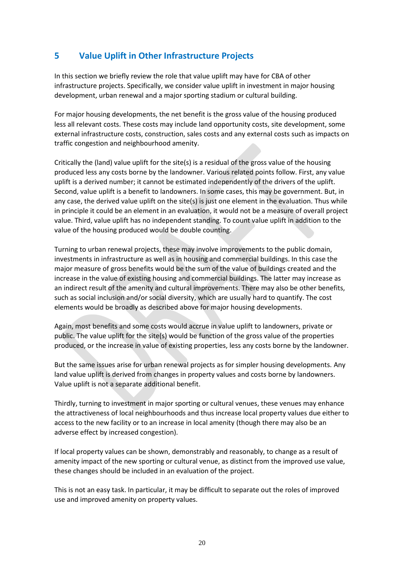# **5 Value Uplift in Other Infrastructure Projects**

In this section we briefly review the role that value uplift may have for CBA of other infrastructure projects. Specifically, we consider value uplift in investment in major housing development, urban renewal and a major sporting stadium or cultural building.

For major housing developments, the net benefit is the gross value of the housing produced less all relevant costs. These costs may include land opportunity costs, site development, some external infrastructure costs, construction, sales costs and any external costs such as impacts on traffic congestion and neighbourhood amenity.

Critically the (land) value uplift for the site(s) is a residual of the gross value of the housing produced less any costs borne by the landowner. Various related points follow. First, any value uplift is a derived number; it cannot be estimated independently of the drivers of the uplift. Second, value uplift is a benefit to landowners. In some cases, this may be government. But, in any case, the derived value uplift on the site(s) is just one element in the evaluation. Thus while in principle it could be an element in an evaluation, it would not be a measure of overall project value. Third, value uplift has no independent standing. To count value uplift in addition to the value of the housing produced would be double counting.

Turning to urban renewal projects, these may involve improvements to the public domain, investments in infrastructure as well as in housing and commercial buildings. In this case the major measure of gross benefits would be the sum of the value of buildings created and the increase in the value of existing housing and commercial buildings. The latter may increase as an indirect result of the amenity and cultural improvements. There may also be other benefits, such as social inclusion and/or social diversity, which are usually hard to quantify. The cost elements would be broadly as described above for major housing developments.

Again, most benefits and some costs would accrue in value uplift to landowners, private or public. The value uplift for the site(s) would be function of the gross value of the properties produced, or the increase in value of existing properties, less any costs borne by the landowner.

But the same issues arise for urban renewal projects as for simpler housing developments. Any land value uplift is derived from changes in property values and costs borne by landowners. Value uplift is not a separate additional benefit.

Thirdly, turning to investment in major sporting or cultural venues, these venues may enhance the attractiveness of local neighbourhoods and thus increase local property values due either to access to the new facility or to an increase in local amenity (though there may also be an adverse effect by increased congestion).

If local property values can be shown, demonstrably and reasonably, to change as a result of amenity impact of the new sporting or cultural venue, as distinct from the improved use value, these changes should be included in an evaluation of the project.

This is not an easy task. In particular, it may be difficult to separate out the roles of improved use and improved amenity on property values.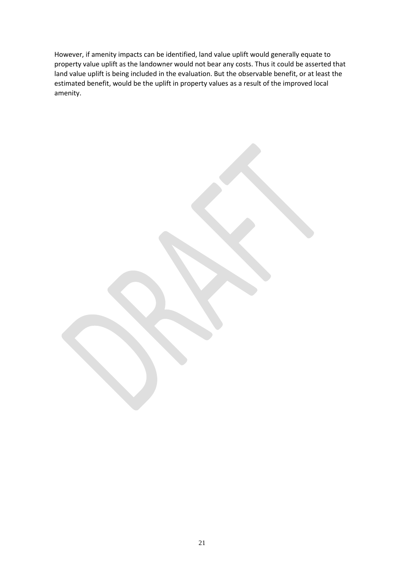However, if amenity impacts can be identified, land value uplift would generally equate to property value uplift as the landowner would not bear any costs. Thus it could be asserted that land value uplift is being included in the evaluation. But the observable benefit, or at least the estimated benefit, would be the uplift in property values as a result of the improved local amenity.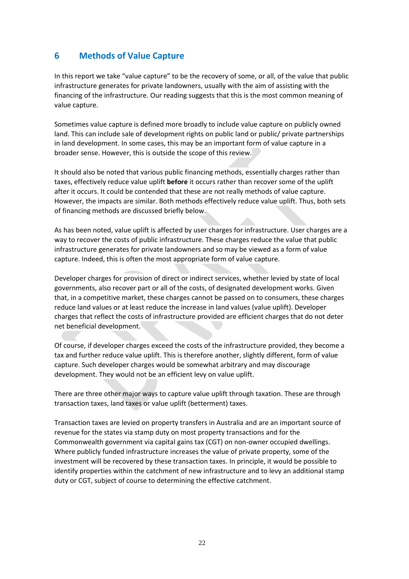# **6 Methods of Value Capture**

In this report we take "value capture" to be the recovery of some, or all, of the value that public infrastructure generates for private landowners, usually with the aim of assisting with the financing of the infrastructure. Our reading suggests that this is the most common meaning of value capture.

Sometimes value capture is defined more broadly to include value capture on publicly owned land. This can include sale of development rights on public land or public/ private partnerships in land development. In some cases, this may be an important form of value capture in a broader sense. However, this is outside the scope of this review.

It should also be noted that various public financing methods, essentially charges rather than taxes, effectively reduce value uplift **before** it occurs rather than recover some of the uplift after it occurs. It could be contended that these are not really methods of value capture. However, the impacts are similar. Both methods effectively reduce value uplift. Thus, both sets of financing methods are discussed briefly below.

As has been noted, value uplift is affected by user charges for infrastructure. User charges are a way to recover the costs of public infrastructure. These charges reduce the value that public infrastructure generates for private landowners and so may be viewed as a form of value capture. Indeed, this is often the most appropriate form of value capture.

Developer charges for provision of direct or indirect services, whether levied by state of local governments, also recover part or all of the costs, of designated development works. Given that, in a competitive market, these charges cannot be passed on to consumers, these charges reduce land values or at least reduce the increase in land values (value uplift). Developer charges that reflect the costs of infrastructure provided are efficient charges that do not deter net beneficial development.

Of course, if developer charges exceed the costs of the infrastructure provided, they become a tax and further reduce value uplift. This is therefore another, slightly different, form of value capture. Such developer charges would be somewhat arbitrary and may discourage development. They would not be an efficient levy on value uplift.

There are three other major ways to capture value uplift through taxation. These are through transaction taxes, land taxes or value uplift (betterment) taxes.

Transaction taxes are levied on property transfers in Australia and are an important source of revenue for the states via stamp duty on most property transactions and for the Commonwealth government via capital gains tax (CGT) on non-owner occupied dwellings. Where publicly funded infrastructure increases the value of private property, some of the investment will be recovered by these transaction taxes. In principle, it would be possible to identify properties within the catchment of new infrastructure and to levy an additional stamp duty or CGT, subject of course to determining the effective catchment.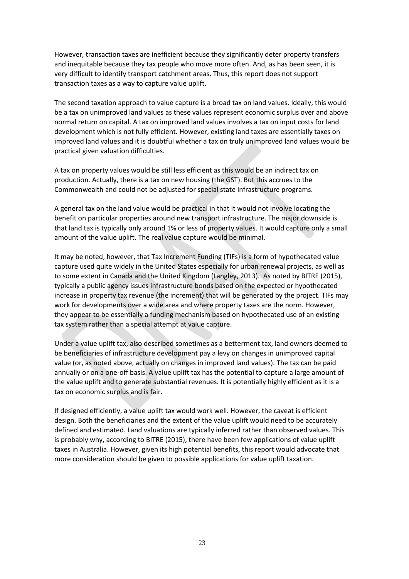However, transaction taxes are inefficient because they significantly deter property transfers and inequitable because they tax people who move more often. And, as has been seen, it is very difficult to identify transport catchment areas. Thus, this report does not support transaction taxes as a way to capture value uplift.

The second taxation approach to value capture is a broad tax on land values. Ideally, this would be a tax on unimproved land values as these values represent economic surplus over and above normal return on capital. A tax on improved land values involves a tax on input costs for land development which is not fully efficient. However, existing land taxes are essentially taxes on improved land values and it is doubtful whether a tax on truly unimproved land values would be practical given valuation difficulties.

A tax on property values would be still less efficient as this would be an indirect tax on production. Actually, there is a tax on new housing (the GST). But this accrues to the Commonwealth and could not be adjusted for special state infrastructure programs.

A general tax on the land value would be practical in that it would not involve locating the benefit on particular properties around new transport infrastructure. The major downside is that land tax is typically only around 1% or less of property values. It would capture only a small amount of the value uplift. The real value capture would be minimal.

It may be noted, however, that Tax Increment Funding (TIFs) is a form of hypothecated value capture used quite widely in the United States especially for urban renewal projects, as well as to some extent in Canada and the United Kingdom (Langley, 2013). As noted by BITRE (2015), typically a public agency issues infrastructure bonds based on the expected or hypothecated increase in property tax revenue (the increment) that will be generated by the project. TIFs may work for developments over a wide area and where property taxes are the norm. However, they appear to be essentially a funding mechanism based on hypothecated use of an existing tax system rather than a special attempt at value capture.

Under a value uplift tax, also described sometimes as a betterment tax, land owners deemed to be beneficiaries of infrastructure development pay a levy on changes in unimproved capital value (or, as noted above, actually on changes in improved land values). The tax can be paid annually or on a one-off basis. A value uplift tax has the potential to capture a large amount of the value uplift and to generate substantial revenues. It is potentially highly efficient as it is a tax on economic surplus and is fair.

If designed efficiently, a value uplift tax would work well. However, the caveat is efficient design. Both the beneficiaries and the extent of the value uplift would need to be accurately defined and estimated. Land valuations are typically inferred rather than observed values. This is probably why, according to BITRE (2015), there have been few applications of value uplift taxes in Australia. However, given its high potential benefits, this report would advocate that more consideration should be given to possible applications for value uplift taxation.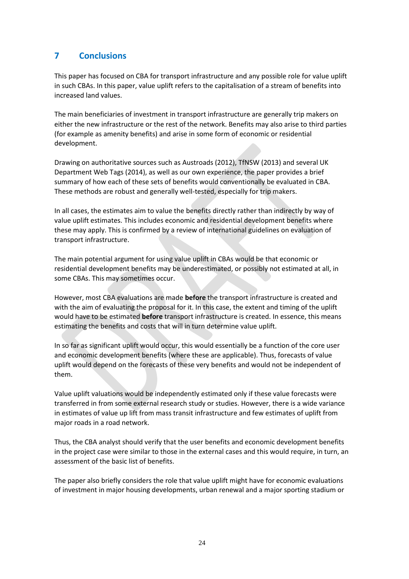# **7 Conclusions**

This paper has focused on CBA for transport infrastructure and any possible role for value uplift in such CBAs. In this paper, value uplift refers to the capitalisation of a stream of benefits into increased land values.

The main beneficiaries of investment in transport infrastructure are generally trip makers on either the new infrastructure or the rest of the network. Benefits may also arise to third parties (for example as amenity benefits) and arise in some form of economic or residential development.

Drawing on authoritative sources such as Austroads (2012), TfNSW (2013) and several UK Department Web Tags (2014), as well as our own experience, the paper provides a brief summary of how each of these sets of benefits would conventionally be evaluated in CBA. These methods are robust and generally well-tested, especially for trip makers.

In all cases, the estimates aim to value the benefits directly rather than indirectly by way of value uplift estimates. This includes economic and residential development benefits where these may apply. This is confirmed by a review of international guidelines on evaluation of transport infrastructure.

The main potential argument for using value uplift in CBAs would be that economic or residential development benefits may be underestimated, or possibly not estimated at all, in some CBAs. This may sometimes occur.

However, most CBA evaluations are made **before** the transport infrastructure is created and with the aim of evaluating the proposal for it. In this case, the extent and timing of the uplift would have to be estimated **before** transport infrastructure is created. In essence, this means estimating the benefits and costs that will in turn determine value uplift.

In so far as significant uplift would occur, this would essentially be a function of the core user and economic development benefits (where these are applicable). Thus, forecasts of value uplift would depend on the forecasts of these very benefits and would not be independent of them.

Value uplift valuations would be independently estimated only if these value forecasts were transferred in from some external research study or studies. However, there is a wide variance in estimates of value up lift from mass transit infrastructure and few estimates of uplift from major roads in a road network.

Thus, the CBA analyst should verify that the user benefits and economic development benefits in the project case were similar to those in the external cases and this would require, in turn, an assessment of the basic list of benefits.

The paper also briefly considers the role that value uplift might have for economic evaluations of investment in major housing developments, urban renewal and a major sporting stadium or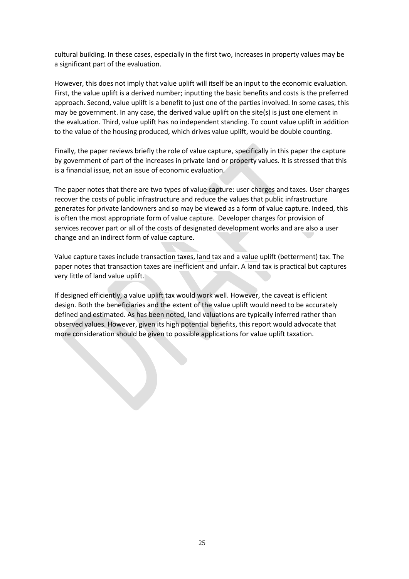cultural building. In these cases, especially in the first two, increases in property values may be a significant part of the evaluation.

However, this does not imply that value uplift will itself be an input to the economic evaluation. First, the value uplift is a derived number; inputting the basic benefits and costs is the preferred approach. Second, value uplift is a benefit to just one of the parties involved. In some cases, this may be government. In any case, the derived value uplift on the site(s) is just one element in the evaluation. Third, value uplift has no independent standing. To count value uplift in addition to the value of the housing produced, which drives value uplift, would be double counting.

Finally, the paper reviews briefly the role of value capture, specifically in this paper the capture by government of part of the increases in private land or property values. It is stressed that this is a financial issue, not an issue of economic evaluation.

The paper notes that there are two types of value capture: user charges and taxes. User charges recover the costs of public infrastructure and reduce the values that public infrastructure generates for private landowners and so may be viewed as a form of value capture. Indeed, this is often the most appropriate form of value capture. Developer charges for provision of services recover part or all of the costs of designated development works and are also a user change and an indirect form of value capture.

Value capture taxes include transaction taxes, land tax and a value uplift (betterment) tax. The paper notes that transaction taxes are inefficient and unfair. A land tax is practical but captures very little of land value uplift.

If designed efficiently, a value uplift tax would work well. However, the caveat is efficient design. Both the beneficiaries and the extent of the value uplift would need to be accurately defined and estimated. As has been noted, land valuations are typically inferred rather than observed values. However, given its high potential benefits, this report would advocate that more consideration should be given to possible applications for value uplift taxation.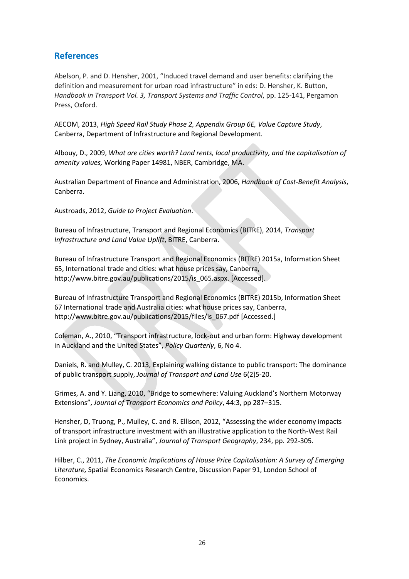# **References**

Abelson, P. and D. Hensher, 2001, "Induced travel demand and user benefits: clarifying the definition and measurement for urban road infrastructure" in eds: D. Hensher, K. Button, *Handbook in Transport Vol. 3, Transport Systems and Traffic Control*, pp. 125-141, Pergamon Press, Oxford.

AECOM, 2013, *High Speed Rail Study Phase 2, Appendix Group 6E, Value Capture Study*, Canberra, Department of Infrastructure and Regional Development.

Albouy, D., 2009, *What are cities worth? Land rents, local productivity, and the capitalisation of amenity values,* Working Paper 14981, NBER, Cambridge, MA.

Australian Department of Finance and Administration, 2006, *Handbook of Cost-Benefit Analysis*, Canberra.

Austroads, 2012, *Guide to Project Evaluation*.

Bureau of Infrastructure, Transport and Regional Economics (BITRE), 2014, *Transport Infrastructure and Land Value Uplift*, BITRE, Canberra.

Bureau of Infrastructure Transport and Regional Economics (BITRE) 2015a, Information Sheet 65, International trade and cities: what house prices say, Canberra, http://www.bitre.gov.au/publications/2015/is\_065.aspx. [Accessed].

Bureau of Infrastructure Transport and Regional Economics (BITRE) 2015b, Information Sheet 67 International trade and Australia cities: what house prices say, Canberra, http://www.bitre.gov.au/publications/2015/files/is\_067.pdf [Accessed.]

Coleman, A., 2010, "Transport infrastructure, lock-out and urban form: Highway development in Auckland and the United States", *Policy Quarterly*, 6, No 4.

Daniels, R. and Mulley, C. 2013, Explaining walking distance to public transport: The dominance of public transport supply, *Journal of Transport and Land Use* 6(2)5-20.

Grimes, A. and Y. Liang, 2010, "Bridge to somewhere: Valuing Auckland's Northern Motorway Extensions", *Journal of Transport Economics and Policy*, 44:3, pp 287–315.

Hensher, D, Truong, P., Mulley, C. and R. Ellison, 2012, "Assessing the wider economy impacts of transport infrastructure investment with an illustrative application to the North-West Rail Link project in Sydney, Australia", *Journal of Transport Geography*, 234, pp. 292-305.

Hilber, C., 2011, *The Economic Implications of House Price Capitalisation: A Survey of Emerging Literature,* Spatial Economics Research Centre, Discussion Paper 91, London School of **Economics**